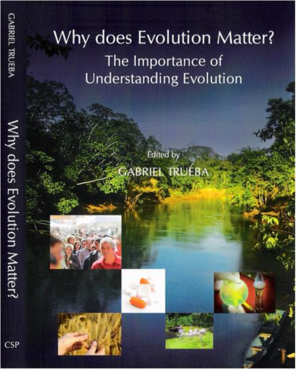## Why does Evolution Matter? The Importance of **Understanding Evolution**

**Edited by BRIEL TRUEBA** 

CSP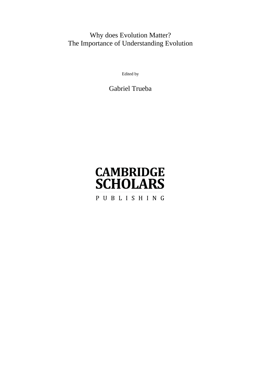## Why does Evolution Matter? The Importance of Understanding Evolution

Edited by

Gabriel Trueba

# **CAMBRIDGE SCHOLARS** PUBLISHING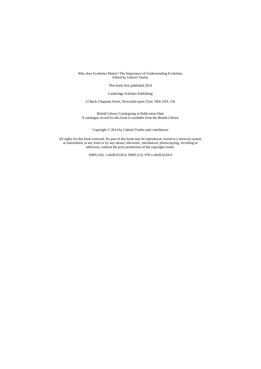#### Why does Evolution Matter? The Importance of Understanding Evolution, Edited by Gabriel Trueba

This book first published 2014

Cambridge Scholars Publishing

12 Back Chapman Street, Newcastle upon Tyne, NE6 2XX, UK

British Library Cataloguing in Publication Data A catalogue record for this book is available from the British Library

Copyright © 2014 by Gabriel Trueba and contributors

All rights for this book reserved. No part of this book may be reproduced, stored in a retrieval system, or transmitted, in any form or by any means, electronic, mechanical, photocopying, recording or otherwise, without the prior permission of the copyright owner.

ISBN (10): 1-4438-6518-4, ISBN (13): 978-1-4438-6518-0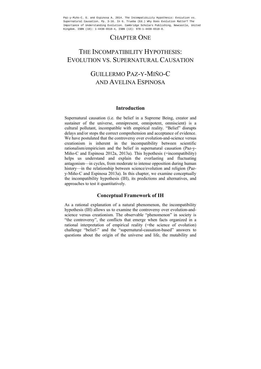Paz-y-Miño-C. G. and Espinosa A. 2014. The Incompatibility Hypothesis: Evolution vs. Supernatural Causation. Pp. 3-16. In G. Trueba (Ed.) Why Does Evolution Matter? The Importance of Understanding Evolution. Cambridge Scholars Publishing, Newcastle, United Kingdom. ISBN (10): 1-4438-6518-4, ISBN (13): 978-1-4438-6518-0.

### CHAPTER ONE

## THE INCOMPATIBILITY HYPOTHESIS<sup>.</sup> EVOLUTION VS. SUPERNATURAL CAUSATION

## GUILLERMO PAZ-Y-MIÑO-C AND AVELINA ESPINOSA

#### **Introduction**

Supernatural causation (i.e. the belief in a Supreme Being, creator and sustainer of the universe, omnipresent, omnipotent, omniscient) is a cultural pollutant, incompatible with empirical reality. "Belief" disrupts delays and/or stops the correct comprehension and acceptance of evidence. We have postulated that the controversy over evolution-and-science versus creationism is inherent in the incompatibility between scientific rationalism/empiricism and the belief in supernatural causation (Paz-y-Miño-C and Espinosa 2012a, 2013a). This hypothesis (=incompatibility) helps us understand and explain the everlasting and fluctuating antagonism—in cycles, from moderate to intense opposition during human history—in the relationship between science/evolution and religion (Pazy-Miño-C and Espinosa 2013a). In this chapter, we examine conceptually the incompatibility hypothesis (IH), its predictions and alternatives, and approaches to test it quantitatively.

#### **Conceptual Framework of IH**

As a rational explanation of a natural phenomenon, the incompatibility hypothesis (IH) allows us to examine the controversy over evolution-andscience versus creationism. The observable "phenomenon" in society is "the controversy", the conflicts that emerge when facts organized in a rational interpretation of empirical reality (=the science of evolution) challenge "belief-" and the "supernatural-causation-based" answers to questions about the origin of the universe and life, the mutability and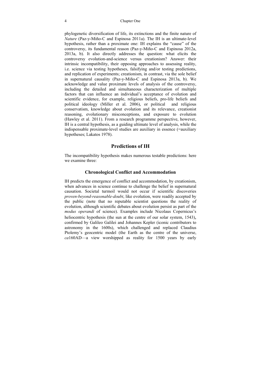phylogenetic diversification of life, its extinctions and the finite nature of *Nature* (Paz-y-Miño-C and Espinosa 2011a). The IH is an ultimate-level hypothesis, rather than a proximate one: IH explains the "cause" of the controversy, its fundamental reason (Paz-y-Miño-C and Espinosa 2012a, 2013a, b). It also directly addresses the question: what elicits the controversy evolution-and-science versus creationism? Answer: their intrinsic incompatibility, their opposing approaches to assessing reality, i.e. science via testing hypotheses, falsifying and/or testing predictions, and replication of experiments; creationism, in contrast, via the sole belief in supernatural causality (Paz-y-Miño-C and Espinosa 2013a, b). We acknowledge and value proximate levels of analysis of the controversy, including the detailed and simultaneous characterization of multiple factors that can influence an individual's acceptance of evolution and scientific evidence, for example, religious beliefs, pro-life beliefs and political ideology (Miller et al. 2006), or political and religious conservatism, knowledge about evolution and its relevance, creationist reasoning, evolutionary misconceptions, and exposure to evolution (Hawley et al. 2011). From a research programme perspective, however, IH is a central hypothesis, as a guiding ultimate level of analysis, while the indispensable proximate-level studies are auxiliary in essence (=auxiliary hypotheses; Lakatos 1978).

#### **Predictions of IH**

The incompatibility hypothesis makes numerous testable predictions: here we examine three:

#### **Chronological Conflict and Accommodation**

IH predicts the emergence of conflict and accommodation, by creationism, when advances in science continue to challenge the belief in supernatural causation. Societal turmoil would not occur if scientific discoveries *proven-beyond-reasonable-doubt*, like evolution, were readily accepted by the public (note that no reputable scientist questions the reality of evolution, although scientific debates about evolution persist as part of the *modus operandi* of science). Examples include Nicolaus Copernicus's heliocentric hypothesis (the sun at the centre of our solar system, 1543), confirmed by Galileo Galilei and Johannes Kepler (iconic contributors to astronomy in the 1600s), which challenged and replaced Claudius Ptolemy's geocentric model (the Earth as the centre of the universe, *ca*160AD—a view worshipped as reality for 1500 years by early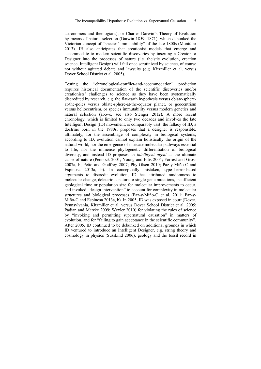astronomers and theologians); or Charles Darwin's Theory of Evolution by means of natural selection (Darwin 1859, 1871), which debunked the Victorian concept of "species' immutability" of the late 1800s (Montúfar 2013). IH also anticipates that creationist models that emerge and accommodate to modern scientific discoveries by inserting a Creator or Designer into the processes of nature (i.e. theistic evolution, creation science, Intelligent Design) will fail once scrutinized by science, of course not without agitated debate and lawsuits (e.g. Kitzmiller et al. versus Dover School District et al. 2005).

Testing the "chronological-conflict-and-accommodation" prediction requires historical documentation of the scientific discoveries and/or creationists' challenges to science as they have been systematically discredited by research, e.g. the flat-earth hypothesis versus oblate-sphereat-the-poles versus oblate-sphere-at-the-equator planet, or geocentrism versus heliocentrism, or species immutability versus modern genetics and natural selection (above, see also Stenger 2012). A more recent chronology, which is limited to only two decades and involves the late Intelligent Design (ID) movement, is comparably vast: the fallacy of ID, a doctrine born in the 1980s, proposes that a designer is responsible, ultimately, for the assemblage of complexity in biological systems; according to ID, evolution cannot explain holistically the origin of the natural world, nor the emergence of intricate molecular pathways essential to life, nor the immense phylogenetic differentiation of biological diversity, and instead ID proposes an *intelligent agent* as the ultimate cause of nature (Pennock 2001; Young and Edis 2004; Forrest and Gross 2007a, b; Petto and Godfrey 2007; Phy-Olsen 2010; Paz-y-Miño-C and Espinosa 2013a, b). In conceptually mistaken, type-I-error-based arguments to discredit evolution, ID has attributed randomness to molecular change, deleterious nature to single-gene mutations, insufficient geological time or population size for molecular improvements to occur, and invoked "design intervention" to account for complexity in molecular structures and biological processes (Paz-y-Miño-C et al. 2011; Paz-y-Miño-C and Espinosa 2013a, b). In 2005, ID was exposed in court (Dover, Pennsylvania, Kitzmiller et al. versus Dover School District et al. 2005; Padian and Matzke 2009; Wexler 2010) for violating the rules of science by "invoking and permitting supernatural causation" in matters of evolution, and for "failing to gain acceptance in the scientific community". After 2005, ID continued to be debunked on additional grounds in which ID ventured to introduce an Intelligent Designer, e.g. string theory and cosmology in physics (Susskind 2006), geology and the fossil record in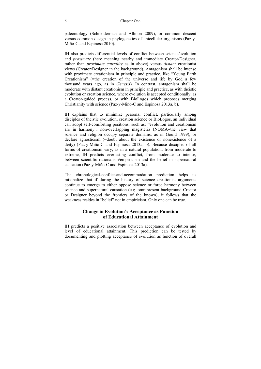paleontology (Schneiderman and Allmon 2009), or common descent versus common design in phylogenetics of unicellular organisms (Paz-y-Miño-C and Espinosa 2010).

IH also predicts differential levels of conflict between science/evolution and *proximate* (here meaning nearby and immediate Creator/Designer, rather than *proximate causality* as in above) versus *distant* creationist views (Creator/Designer in the background). Antagonism shall be intense with proximate creationism in principle and practice, like "Young Earth" Creationism" (=the creation of the universe and life by God a few thousand years ago, as in *Genesis*). In contrast, antagonism shall be moderate with distant creationism in principle and practice, as with theistic evolution or creation science, where evolution is accepted conditionally, as a Creator-guided process, or with BioLogos which proposes merging Christianity with science (Paz-y-Miño-C and Espinosa 2013a, b).

IH explains that to minimize personal conflict, particularly among disciples of theistic evolution, creation science or BioLogos, an individual can adopt self-comforting positions, such as: "evolution and creationism are in harmony", non-overlapping magisteria (NOMA=the view that science and religion occupy separate domains; as in Gould 1999), or declare agnosticism (=doubt about the existence or nonexistence of a deity) (Paz-y-Miño-C and Espinosa 2013a, b). Because disciples of all forms of creationism vary, as in a natural population, from moderate to extreme, IH predicts everlasting conflict, from moderate to intense, between scientific rationalism/empiricism and the belief in supernatural causation (Paz-y-Miño-C and Espinosa 2013a).

The chronological-conflict-and-accommodation prediction helps us rationalize that if during the history of science creationist arguments continue to emerge to either oppose science or force harmony between science and supernatural causation (e.g. omnipresent background Creator or Designer beyond the frontiers of the known), it follows that the weakness resides in "belief" not in empiricism. Only one can be true.

#### **Change in Evolution's Acceptance as Function of Educational Attainment**

IH predicts a positive association between acceptance of evolution and level of educational attainment. This prediction can be tested by documenting and plotting acceptance of evolution as function of overall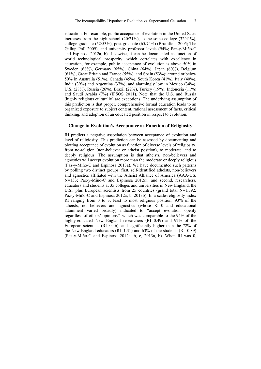education. For example, public acceptance of evolution in the United Sates increases from the high school  $(20/21\%)$ , to the some college  $(32/41\%)$ , college graduate (52/53%), post-graduate (65/74%) (Brumfield 2005; The Gallup Poll 2009), and university professor levels (94%; Paz-y-Miño-C and Espinosa 2012a, b). Likewise, it can be documented as function of world technological prosperity, which correlates with excellence in education, for example, public acceptance of evolution is above 50% in Sweden (68%), Germany (65%), China (64%), Japan (60%), Belgium (61%), Great Britain and France (55%), and Spain (53%); around or below 50% in Australia (51%), Canada (45%), South Korea (41%), Italy (40%), India (39%) and Argentina (37%); and alarmingly low in Mexico (34%), U.S. (28%), Russia (26%), Brazil (22%), Turkey (19%), Indonesia (11%) and Saudi Arabia (7%) (IPSOS 2011). Note that the U.S. and Russia (highly religious culturally) are exceptions. The underlying assumption of this prediction is that proper, comprehensive formal education leads to an organized exposure to subject content, rational assessment of facts, critical thinking, and adoption of an educated position in respect to evolution.

#### **Change in Evolution's Acceptance as Function of Religiosity**

IH predicts a negative association between acceptance of evolution and level of religiosity. This prediction can be assessed by documenting and plotting acceptance of evolution as function of diverse levels of religiosity, from no-religion (non-believer or atheist position), to moderate, and to deeply religious. The assumption is that atheists, non-believers and agnostics will accept evolution more than the moderate or deeply religious (Paz-y-Miño-C and Espinosa 2013a). We have documented such patterns by polling two distinct groups: first, self-identified atheists, non-believers and agnostics affiliated with the Atheist Alliance of America (AAA-US, N=133; Paz-y-Miño-C and Espinosa 2012c); and second, researchers, educators and students at 35 colleges and universities in New England, the U.S., plus European scientists from 25 countries (grand total N=1,392; Paz-y-Miño-C and Espinosa 2012a, b, 2013b). In a scale-religiosity index RI ranging from 0 to 3, least to most religious position, 93% of the atheists, non-believers and agnostics (whose RI=0 and educational attainment varied broadly) indicated to "accept evolution openly regardless of others' opinions", which was comparable to the 94% of the highly-educated New England researchers (RI=0.49) and 92% of the European scientists (RI=0.46), and significantly higher than the 72% of the New England educators  $(RI=1.31)$  and 63% of the students  $(RI=0.89)$ (Paz-y-Miño-C and Espinosa 2012a, b, c, 2013a, b). When RI was 0,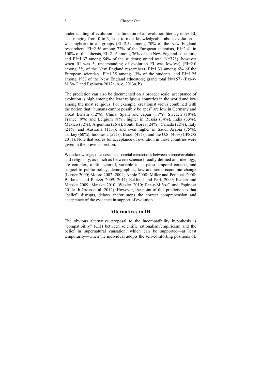understanding of evolution—as function of an evolution literacy index EI, also ranging from 0 to 3, least to most knowledgeable about evolution was high(er) in all groups (EI=2.59 among 70% of the New England researchers, EI=2.56 among 72% of the European scientists, EI=2.41 in 100% of the atheists, EI=2.16 among 36% of the New England educators, and EI=1.67 among 54% of the students; grand total N=778), however when RI was 3, understanding of evolution EI was low(est)  $(EI=2.0$ among 3% of the New England researchers, EI=1.33 among 6% of the European scientists, EI=1.35 among 13% of the students, and EI=1.25 among 19% of the New England educators; grand total N=157) (Paz-y-Miño-C and Espinosa 2012a, b, c, 2013a, b).

The prediction can also be documented on a broader scale: acceptance of evolution is high among the least religious countries in the world and low among the most religious. For example, creationist views combined with the notion that "humans cannot possibly be apes" are low in Germany and Great Britain (12%), China, Spain and Japan (11%), Sweden (10%), France (9%) and Belgium (8%); higher in Russia (34%), India (33%), Mexico (32%), Argentina (26%), South Korea (24%), Canada (22%), Italy (21%) and Australia (15%); and even higher in Saudi Arabia (75%), Turkey (60%), Indonesia (57%), Brazil (47%), and the U.S. (40%) (IPSOS 2011). Note that scores for acceptance of evolution in these countries were given in the previous section.

We acknowledge, of course, that societal interactions between science/evolution and religiosity, as much as between science broadly defined and ideology, are complex, multi factorial, variable in a spatio-temporal context, and subject to public policy, demographics, law and socio-economic change (Lerner 2000; Moore 2002, 2004; Apple 2008; Miller and Pennock 2008; Berkman and Plutzer 2009, 2011; Ecklund and Park 2009; Padian and Matzke 2009; Matzke 2010; Wexler 2010; Paz-y-Miño-C and Espinosa 2011a, b Gross et al. 2012). However, the point of this prediction is that "belief" disrupts, delays and/or stops the correct comprehension and acceptance of the evidence in support of evolution.

#### **Alternatives to IH**

The obvious alternative proposal to the incompatibility hypothesis is "compatibility" (CH) between scientific rationalism/empiricism and the belief in supernatural causation, which can be supported—at least temporarily—when the individual adopts the self-comforting positions of: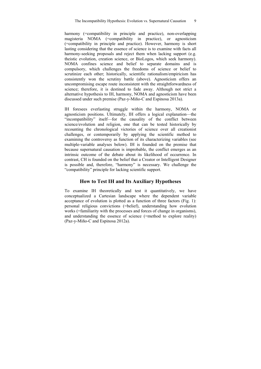harmony (=compatibility in principle and practice), non-overlapping magisteria NOMA (=compatibility in practice), or agnosticism (=compatibility in principle and practice). However, harmony is short lasting considering that the essence of science is to examine with facts all harmony-seeking proposals and reject them when lacking support (e.g. theistic evolution, creation science, or BioLogos, which seek harmony). NOMA confines science and belief to separate domains and is compulsory, which challenges the freedoms of science or belief to scrutinize each other; historically, scientific rationalism/empiricism has consistently won the scrutiny battle (above). Agnosticism offers an uncompromising escape route inconsistent with the straightforwardness of science; therefore, it is destined to fade away. Although not strict a alternative hypothesis to IH, harmony, NOMA and agnosticism have been discussed under such premise (Paz-y-Miño-C and Espinosa 2013a).

IH foresees everlasting struggle within the harmony, NOMA or agnosticism positions. Ultimately, IH offers a logical explanation—the "incompatibility" itself—for the causality of the conflict between science/evolution and religion, one that can be tested historically by recounting the chronological victories of science over all creationist challenges, or contemporarily by applying the scientific method to examining the controversy as function of its characterizing variables (see multiple-variable analyses below). IH is founded on the premise that because supernatural causation is improbable, the conflict emerges as an intrinsic outcome of the debate about its likelihood of occurrence. In contrast, CH is founded on the belief that a Creator or Intelligent Designer is possible and, therefore, "harmony" is necessary. We challenge the "compatibility" principle for lacking scientific support.

#### **How to Test IH and Its Auxiliary Hypotheses**

To examine IH theoretically and test it quantitatively, we have conceptualized a Cartesian landscape where the dependent variable acceptance of evolution is plotted as a function of three factors (Fig. 1): personal religious convictions (=belief), understanding how evolution works (=familiarity with the processes and forces of change in organisms), and understanding the essence of science (=method to explore reality) (Paz-y-Miño-C and Espinosa 2012a).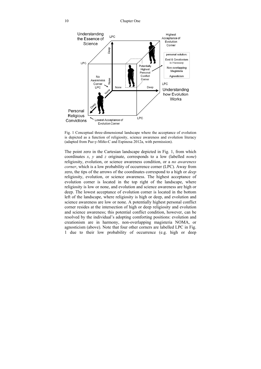10 Chapter One



Fig. 1 Conceptual three-dimensional landscape where the acceptance of evolution is depicted as a function of religiosity, science awareness and evolution literacy (adapted from Paz-y-Miño-C and Espinosa 2012a, with permission).

The point zero in the Cartesian landscape depicted in Fig. 1, from which coordinates *x*, *y* and *z* originate, corresponds to a low (labelled *none*) religiosity, evolution, or science awareness condition, or a *no awareness corner*, which is a low probability of occurrence corner (LPC). Away from zero, the tips of the arrows of the coordinates correspond to a high or *deep* religiosity, evolution, or science awareness. The highest acceptance of evolution corner is located in the top right of the landscape, where religiosity is low or none, and evolution and science awareness are high or deep. The lowest acceptance of evolution corner is located in the bottom left of the landscape, where religiosity is high or deep, and evolution and science awareness are low or none. A potentially highest personal conflict corner resides at the intersection of high or deep religiosity and evolution and science awareness; this potential conflict condition, however, can be resolved by the individual's adopting comforting positions: evolution and creationism are in harmony, non-overlapping magisteria NOMA, or agnosticism (above). Note that four other corners are labelled LPC in Fig. 1 due to their low probability of occurrence (e.g. high or deep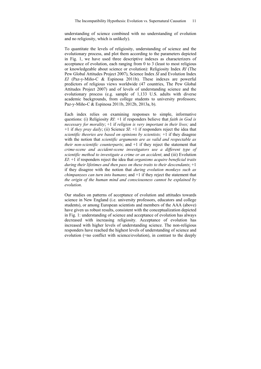understanding of science combined with no understanding of evolution and no religiosity, which is unlikely).

To quantitate the levels of religiosity, understanding of science and the evolutionary process, and plot them according to the parameters depicted in Fig. 1, we have used three descriptive indexes as characterizers of acceptance of evolution, each ranging from 0 to 3 (least to most religious or knowledgeable about science or evolution): Religiosity Index *RI* (The Pew Global Attitudes Project 2007), Science Index *SI* and Evolution Index *EI* (Paz-y-Miño-C & Espinosa 2011b). These indexes are powerful predictors of religious views worldwide (47 countries, The Pew Global Attitudes Project 2007) and of levels of understanding science and the evolutionary process (e.g. sample of 1,133 U.S. adults with diverse academic backgrounds, from college students to university professors; Paz-y-Miño-C & Espinosa 2011b, 2012b, 2013a, b).

Each index relies on examining responses to simple, informative questions: (i) Religiosity *RI*: +1 if responders believe that *faith in God is necessary for morality*; +1 if *religion is very important in their lives;* and +1 if *they pray daily*; (ii) Science *SI*: +1 if responders reject the idea that *scientific theories are based on opinions by scientists;* +1 if they disagree with the notion that *scientific arguments are as valid and respectable as their non-scientific counterparts*; and +1 if they reject the statement that *crime-scene and accident-scene investigators use a different type of scientific method to investigate a crime or an accident*; and (iii) Evolution *EI*: +1 if responders reject the idea that *organisms acquire beneficial traits during their lifetimes and then pass on these traits to their descendants*; +1 if they disagree with the notion that *during evolution monkeys such as chimpanzees can turn into humans*; and +1 if they reject the statement that *the origin of the human mind and consciousness cannot be explained by evolution*.

Our studies on patterns of acceptance of evolution and attitudes towards science in New England (i.e. university professors, educators and college students), or among European scientists and members of the AAA (above) have given us robust results, consistent with the conceptualization depicted in Fig. 1: understanding of science and acceptance of evolution has always decreased with increasing religiosity. Acceptance of evolution has increased with higher levels of understanding science. The non-religious responders have reached the highest levels of understanding of science and evolution (=no conflict with science/evolution), in contrast to the deeply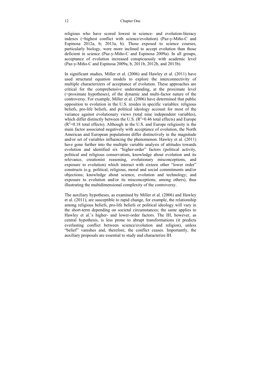religious who have scored lowest in science- and evolution-literacy indexes (=highest conflict with science/evolution) (Paz-y-Miño-C and Espinosa 2012a, b; 2013a, b). Those exposed to science courses, particularly biology, were more inclined to accept evolution than those deficient in science (Paz-y-Miño-C and Espinosa 2009a). In all groups, acceptance of evolution increased conspicuously with academic level (Paz-y-Miño-C and Espinosa 2009a, b, 2011b, 2012b, and 2013b).

In significant studies, Miller et al. (2006) and Hawley et al. (2011) have used structural equation models to explore the interconnectivity of multiple characterizers of acceptance of evolution. These approaches are critical for the comprehensive understanding, at the proximate level (=proximate hypotheses), of the dynamic and multi-factor nature of the controversy. For example, Miller et al. (2006) have determined that public opposition to evolution in the U.S. resides in specific variables: religious beliefs, pro-life beliefs, and political ideology account for most of the variance against evolutionary views (total nine independent variables), which differ distinctly between the U.S.  $(R^2=0.46 \text{ total effects})$  and Europe  $(R<sup>2</sup>=0.18$  total effects). Although in the U.S. and Europe religiosity is the main factor associated negatively with acceptance of evolution, the North American and European populations differ distinctively in the magnitude and/or set of variables influencing the phenomenon. Hawley et al. (2011) have gone further into the multiple variable analysis of attitudes towards evolution and identified six "higher-order" factors (political activity, political and religious conservatism, knowledge about evolution and its relevance, creationist reasoning, evolutionary misconceptions, and exposure to evolution) which interact with sixteen other "lower order" constructs (e.g. political, religious, moral and social commitments and/or objections; knowledge about science, evolution and technology; and exposure to evolution and/or its misconceptions; among others), thus illustrating the multidimensional complexity of the controversy.

The auxiliary hypotheses, as examined by Miller et al. (2006) and Hawley et al. (2011), are susceptible to rapid change, for example, the relationship among religious beliefs, pro-life beliefs or political ideology will vary in the short-term depending on societal circumstances; the same applies to Hawley et al.'s higher- and lower-order factors. The IH, however, as central hypothesis, is less prone to abrupt transformations (it predicts everlasting conflict between science/evolution and religion), unless "belief" vanishes and, therefore, the conflict ceases. Importantly, the auxiliary proposals are essential to study and characterize IH.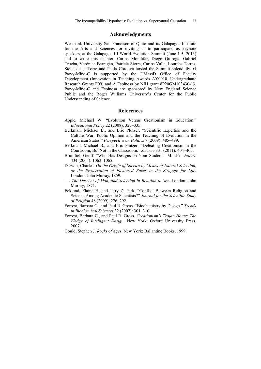#### **Acknowledgments**

We thank University San Francisco of Quito and its Galapagos Institute for the Arts and Sciences for inviting us to participate, as keynote speakers, at the Galapagos III World Evolution Summit (June 1-5, 2013) and to write this chapter. Carlos Montúfar, Diego Quiroga, Gabriel Trueba, Verónica Barragán, Patricia Sierra, Carlos Valle, Lourdes Torres, Stella de la Torre and Paula Córdova hosted the Summit splendidly. G Paz-y-Miño-C is supported by the UMassD Office of Faculty Development (Innovation in Teaching Awards AY0910, Undergraduate Research Grants F09) and A Espinosa by NIH grant 8P20GM103430-13. Paz-y-Miño-C and Espinosa are sponsored by New England Science Public and the Roger Williams University's Center for the Public Understanding of Science.

#### **References**

- Apple, Michael W. "Evolution Versus Creationism in Education." *Educational Policy* 22 (2008): 327–335.
- Berkman, Michael B., and Eric Plutzer. "Scientific Expertise and the Culture War: Public Opinion and the Teaching of Evolution in the American States." *Perspective on Politics* 7 (2009): 485–499.
- Berkman, Michael B., and Eric Plutzer. "Defeating Creationism in the Courtroom, But Not in the Classroom." *Science* 331 (2011): 404–405.
- Brumfiel, Geoff. "Who Has Designs on Your Students' Minds?" *Nature* 434 (2005): 1062–1065.
- Darwin, Charles. *On the Origin of Species by Means of Natural Selection, or the Preservation of Favoured Races in the Struggle for Life*. London: John Murray, 1859.
- —. *The Descent of Man, and Selection in Relation to Sex*. London: John Murray, 1871.
- Ecklund, Elaine H, and Jerry Z. Park. "Conflict Between Religion and Science Among Academic Scientists?" *Journal for the Scientific Study of Religion* 48 (2009): 276–292.
- Forrest, Barbara C., and Paul R. Gross. "Biochemistry by Design." *Trends in Biochemical Sciences* 32 (2007): 301–310.
- Forrest, Barbara C., and Paul R. Gross. *Creationism's Trojan Horse: The Wedge of Intelligent Design*. New York: Oxford University Press, 2007.
- Gould, Stephen J. *Rocks of Ages*. New York: Ballantine Books, 1999.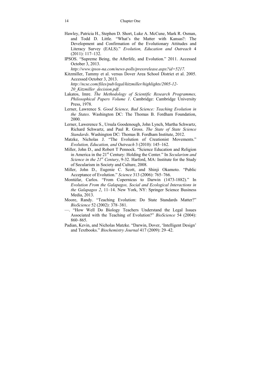- Hawley, Patricia H., Stephen D. Short, Luke A. McCune, Mark R. Osman, and Todd D. Little. "What's the Matter with Kansas?: The Development and Confirmation of the Evolutionary Attitudes and Literacy Survey (EALS)." *Evolution, Education and Outreach* 4 (2011): 117–132.
- IPSOS. "Supreme Being, the Afterlife, and Evolution." 2011. Accessed October 3, 2013.

*http://www.ipsos-na.com/news-polls/pressrelease.aspx?id=5217.* 

Kitzmiller, Tammy et al. versus Dover Area School District et al. 2005. Accessed October 3, 2013.

*http://ncse.com/files/pub/legal/kitzmiller/highlights/2005-12- 20\_Kitzmiller\_decision.pdf*.

- Lakatos, Imre. *The Methodology of Scientific Research Programmes, Philosophical Papers Volume 1*. Cambridge: Cambridge University Press, 1978.
- Lerner, Lawrence S. *Good Science, Bad Science: Teaching Evolution in the States*. Washington DC: The Thomas B. Fordham Foundation, 2000.
- Lerner, Lawerence S., Ursula Goodenough, John Lynch, Martha Schwartz, Richard Schwartz, and Paul R. Gross. *The State of State Science Standards*. Washington DC: Thomas B. Fordham Institute, 2012.
- Matzke, Nicholas J. "The Evolution of Creationist Movements." *Evolution, Education, and Outreach* 3 (2010): 145–162.
- Miller, John D., and Robert T Pennock. "Science Education and Religion in America in the 21st Century: Holding the Center." In *Secularism and Science in the 21st Century*, 9-32. Harford, MA: Institute for the Study of Secularism in Society and Culture, 2008.
- Miller, John D., Eugenie C. Scott, and Shinji Okamoto. "Public Acceptance of Evolution." *Science* 313 (2006): 765–766.
- Montúfar, Carlos. "From Copernicus to Darwin (1473-1882)." In *Evolution From the Galapagos, Social and Ecological Interactions in the Galapagos 2*, 11–14. New York, NY: Springer Science Business Media, 2013.
- Moore, Randy. "Teaching Evolution: Do State Standards Matter?" *BioScience* 52 (2002): 378–381.
- —. "How Well Do Biology Teachers Understand the Legal Issues Associated with the Teaching of Evolution?" *BioScience* 54 (2004): 860–865.
- Padian, Kevin, and Nicholas Matzke. "Darwin, Dover, 'Intelligent Design' and Textbooks." *Biochemistry Journal* 417 (2009): 29–42.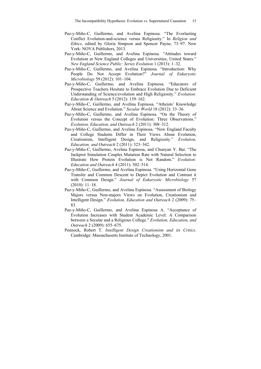- Paz-y-Miño-C, Guillermo, and Avelina Espinosa. "The Everlasting Conflict Evolution-and-science versus Religiosity." In *Religion and Ethics*, edited by Gloria Simpson and Spencer Payne, 73–97. New York: NOVA Publishers, 2013.
- Paz-y-Miño-C, Guillermo, and Avelina Espinosa. "Attitudes toward Evolution at New England Colleges and Universities, United States." *New England Science Public: Series Evolution* 1 (2013): 1–32.
- Paz-y-Miño-C, Guillermo, and Avelina Espinosa. "Introduction: Why People Do Not Accept Evolution?" *Journal of Eukaryotic Microbiology* 59 (2012): 101–104.
- Paz-y-Miño-C, Guillermo, and Avelina Espinosa. "Educators of Prospective Teachers Hesitate to Embrace Evolution Due to Deficient Understanding of Science/evolution and High Religiosity." *Evolution: Education & Outreach* 5 (2012): 139–162.
- Paz-y-Miño-C, Guillermo, and Avelina Espinosa. "Atheists' Knowledge About Science and Evolution." *Secular World* 18 (2012): 33–36.
- Paz-y-Miño-C, Guillermo, and Avelina Espinosa. "On the Theory of Evolution versus the Concept of Evolution: Three Observations." *Evolution, Education, and Outreach* 2 (2011): 308–312.
- Paz-y-Miño-C, Guillermo, and Avelina Espinosa. "New England Faculty and College Students Differ in Their Views About Evolution, Creationism, Intelligent Design, and Religiosity." *Evolution, Education, and Outreach* 2 (2011): 323–342.
- Paz-y-Miño-C, Guillermo, Avelina Espinosa, and Chunyan Y. Bai. "The Jackprot Simulation Couples Mutation Rate with Natural Selection to Illustrate How Protein Evolution is Not Random." *Evolution: Education and Outreach* 4 (2011): 502–514.
- Paz-y-Miño-C, Guillermo, and Avelina Espinosa. "Using Horizontal Gene Transfer and Common Descent to Depict Evolution and Contrast it with Common Design." *Journal of Eukaryotic Microbiology* 57 (2010): 11–18.
- Paz-y-Miño-C, Guillermo, and Avelina Espinosa. "Assessment of Biology Majors versus Non-majors Views on Evolution, Creationism and Intelligent Design." *Evolution, Education and Outreach* 2 (2009): 75– 83.
- Paz-y-Miño-C, Guillermo, and Avelina Espinosa A. "Acceptance of Evolution Increases with Student Academic Level: A Comparison between a Secular and a Religious College." *Evolution, Education, and Outreach* 2 (2009): 655–675.
- Pennock, Robert T. *Intelligent Design Creationism and its Critics*. Cambridge: Massachusetts Institute of Technology, 2001.